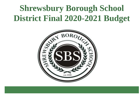# **Shrewsbury Borough School District Final 2020-2021 Budget**

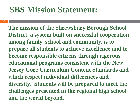# **SBS Mission Statement:**

**2**

**The mission of the Shrewsbury Borough School District, a system built on successful cooperation among family, school and community, is to prepare all students to achieve excellence and to become responsible citizens through rigorous educational programs consistent with the New Jersey Core Curriculum Content Standards and which respect individual differences and diversity. Students will be prepared to meet the challenges presented in the regional high school and the world beyond.**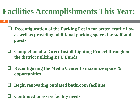# **Facilities Accomplishments This Year:**

- **3**
- **Reconfiguration of the Parking Lot in for better traffic flow as well as providing additional parking spaces for staff and guests**
- **Completion of a Direct Install Lighting Project throughout the district utilizing BPU Funds**
- **Reconfiguring the Media Center to maximize space & opportunities**
- **Begin renovating outdated bathroom facilities**
- **Continued to assess facility needs**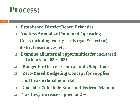### **Process:**

- **Established District/Board Priorities**
- **Analyze/Annualize Estimated Operating Costs including energy costs (gas & electric), district insurances, etc.**
- **Examine all internal opportunities for increased efficiency in 2020-2021**
- **Budget for District Contractual Obligations**
- **Zero-Based Budgeting Concept for supplies and instructional materials**
- **Consider & include State and Federal Mandates**
- **Tax Levy increase capped at 2%**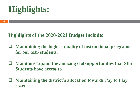# **Highlights:**

#### **Highlights of the 2020-2021 Budget Include:**

- **Maintaining the highest quality of instructional programs for our SBS students.**
- **Maintain/Expand the amazing club opportunities that SBS Students have access to**
- **Maintaining the district's allocation towards Pay to Play costs**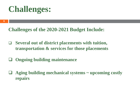# **Challenges:**

**6**

**Challenges of the 2020-2021 Budget Include:**

- **Several out of district placements with tuition, transportation & services for those placements**
- **Ongoing building maintenance**
- **Aging building mechanical systems ~ upcoming costly repairs**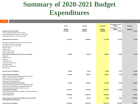#### **Summary of 2020-2021 Budget Expenditures**

| $\overline{7}$                                                 |           |           |                 |                                             |            |
|----------------------------------------------------------------|-----------|-----------|-----------------|---------------------------------------------|------------|
|                                                                | Actual    | Adjusted  | <b>Proposed</b> | <b>Percentage of Total</b><br><b>Budget</b> | Increase/  |
|                                                                |           |           |                 | <b>Percentage of Total</b>                  |            |
|                                                                | 2018/19   | 2019/20   | 2020/21         | <b>Budget</b>                               | Decrease   |
| <b>Regular Education Including:</b>                            | 3,070,495 | 3,082,107 | 3,208,868       | 35.47%                                      | 126,761    |
| Teacher Salaries(including Home Instruction)                   |           |           |                 |                                             |            |
| Instructional Supplies (including new curriculums)             |           |           |                 |                                             |            |
| Testing Materials/Purch. Prof. Svcs-Instruction                |           |           |                 |                                             |            |
| <b>Special Education Including:</b>                            | 1,473,012 | 1,685,881 | 1,747,486       | 19.31%                                      | 61,605     |
| ABA Outsource/Student Services In District/Out of District     |           |           |                 |                                             |            |
| Out of District Tuition/Transportation                         |           |           |                 |                                             |            |
| Extraordinary Services: 1 to 1 Aides                           |           |           |                 |                                             |            |
| Resource Room                                                  |           |           |                 |                                             |            |
| Reading Clinic                                                 |           |           |                 |                                             |            |
| Summer PSD Program                                             |           |           |                 |                                             |            |
| Summer ABA Program                                             |           |           |                 |                                             |            |
| District Wide Student/Instructional Services Including:        | 728,966   | 872,359   | 900,554         | 9.95%                                       | 28,196     |
| Attendance                                                     |           |           |                 |                                             |            |
| <b>Health Services</b>                                         |           |           |                 |                                             |            |
| Guidance                                                       |           |           |                 |                                             |            |
| Child Study Team                                               |           |           |                 |                                             |            |
| Curriculum and Instruction                                     |           |           |                 |                                             |            |
| Staff Development                                              |           |           |                 |                                             |            |
| Non Public Transportation                                      |           |           |                 |                                             |            |
| <b>Food Services</b>                                           |           |           |                 |                                             |            |
| <b>Extra Curricular Clubs/Sports:</b>                          | 60,038    | 70,333    | 65,000          | 0.72%                                       | (5, 333)   |
| <b>District Operations Including:</b>                          | 678,493   | 669,325   | 659,317         | 7.29%                                       | (10,008)   |
| Salaries - B&G Supervisor/Cust/Maintenance/Lunch Aides         |           |           |                 |                                             |            |
| Building & Grounds Maintenance/Supplies                        |           |           |                 |                                             |            |
| <b>Contracted Services/Crossing Guards</b>                     |           |           |                 |                                             |            |
| Property Insurance/Energy/Water/                               |           |           |                 |                                             |            |
| <b>School District Administration Including:</b>               | 776,054   | 864,066   | 818,254         | 9.04%                                       | (45, 812)  |
| Main School Office/Superintendent's Office/Business Office     |           |           |                 |                                             |            |
| Technology Coordinator/Board of Ed/Legal/Professionals         |           |           |                 |                                             |            |
| District Systems/bonds/Liability/Umbrella Insurance            |           |           |                 |                                             |            |
| <b>District Benefits Including:</b>                            | 1,579,827 | 1,708,696 | 1,635,621       | 18.08%                                      | (73, 075)  |
| Health/Dental/opt out/SS/Pension pmts/Ret. Payout/Unemployment |           |           |                 |                                             |            |
| <b>Tuition Reimbursement</b>                                   |           |           |                 |                                             |            |
| <b>Total General Fund:</b>                                     | 8,366,885 | 8,952,767 | 9,035,100       |                                             | 82,333     |
| Capital Projects Including: Generator/SDA State Assessment     | 77,174    | 144,561   | 12,628          | 0.14%                                       | (131, 933) |
| <b>Roof Repair/Building Plumbing</b>                           |           |           |                 |                                             |            |
| <b>Total General Fund Budget:</b>                              | 8.444.059 | 9.097.329 | 9.047.728       | 100.00%                                     | (49.601)   |